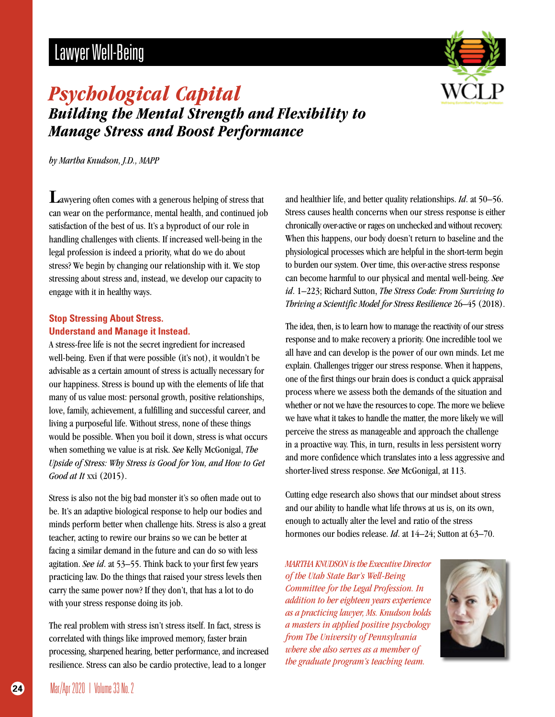# Lawyer Well-Being



### *Psychological Capital Building the Mental Strength and Flexibility to Manage Stress and Boost Performance*

*by Martha Knudson, J.D., MAPP*

Lawyering often comes with a generous helping of stress that can wear on the performance, mental health, and continued job satisfaction of the best of us. It's a byproduct of our role in handling challenges with clients. If increased well-being in the legal profession is indeed a priority, what do we do about stress? We begin by changing our relationship with it. We stop stressing about stress and, instead, we develop our capacity to engage with it in healthy ways.

#### **Stop Stressing About Stress. Understand and Manage it Instead.**

A stress-free life is not the secret ingredient for increased well-being. Even if that were possible (it's not), it wouldn't be advisable as a certain amount of stress is actually necessary for our happiness. Stress is bound up with the elements of life that many of us value most: personal growth, positive relationships, love, family, achievement, a fulfilling and successful career, and living a purposeful life. Without stress, none of these things would be possible. When you boil it down, stress is what occurs when something we value is at risk. *See* Kelly McGonigal, *The Upside of Stress: Why Stress is Good for You, and How to Get Good at It* xxi (2015).

Stress is also not the big bad monster it's so often made out to be. It's an adaptive biological response to help our bodies and minds perform better when challenge hits. Stress is also a great teacher, acting to rewire our brains so we can be better at facing a similar demand in the future and can do so with less agitation. *See id*. at 53–55. Think back to your first few years practicing law. Do the things that raised your stress levels then carry the same power now? If they don't, that has a lot to do with your stress response doing its job.

The real problem with stress isn't stress itself. In fact, stress is correlated with things like improved memory, faster brain processing, sharpened hearing, better performance, and increased resilience. Stress can also be cardio protective, lead to a longer

and healthier life, and better quality relationships. *Id*. at 50–56. Stress causes health concerns when our stress response is either chronically over-active or rages on unchecked and without recovery. When this happens, our body doesn't return to baseline and the physiological processes which are helpful in the short-term begin to burden our system. Over time, this over-active stress response can become harmful to our physical and mental well-being. *See id*. 1–223; Richard Sutton, *The Stress Code: From Surviving to Thriving a Scientific Model for Stress Resilience* 26–45 (2018).

The idea, then, is to learn how to manage the reactivity of our stress response and to make recovery a priority. One incredible tool we all have and can develop is the power of our own minds. Let me explain. Challenges trigger our stress response. When it happens, one of the first things our brain does is conduct a quick appraisal process where we assess both the demands of the situation and whether or not we have the resources to cope. The more we believe we have what it takes to handle the matter, the more likely we will perceive the stress as manageable and approach the challenge in a proactive way. This, in turn, results in less persistent worry and more confidence which translates into a less aggressive and shorter-lived stress response. *See* McGonigal, at 113.

Cutting edge research also shows that our mindset about stress and our ability to handle what life throws at us is, on its own, enough to actually alter the level and ratio of the stress hormones our bodies release. *Id.* at 14–24; Sutton at 63–70.

*MARTHA KNUDSON is the Executive Director of the Utah State Bar's Well-Being Committee for the Legal Profession. In addition to her eighteen years experience as a practicing lawyer, Ms. Knudson holds a masters in applied positive psychology from The University of Pennsylvania where she also serves as a member of the graduate program's teaching team.* 

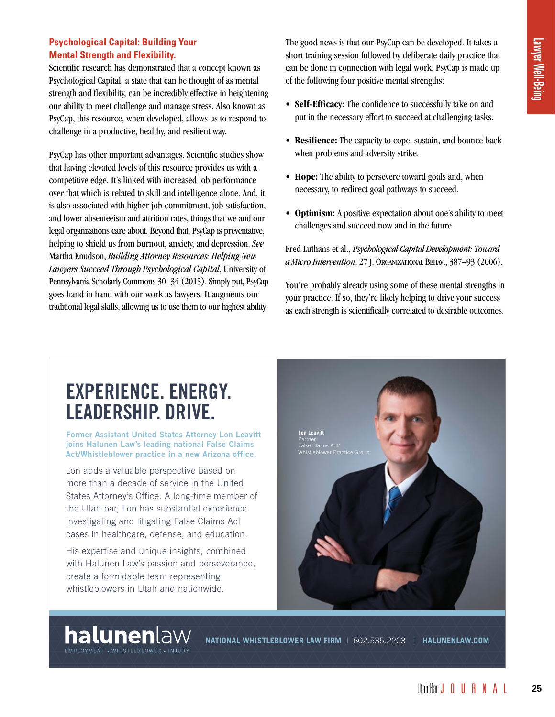#### **Psychological Capital: Building Your Mental Strength and Flexibility.**

Scientific research has demonstrated that a concept known as Psychological Capital, a state that can be thought of as mental strength and flexibility, can be incredibly effective in heightening our ability to meet challenge and manage stress. Also known as PsyCap, this resource, when developed, allows us to respond to challenge in a productive, healthy, and resilient way.

PsyCap has other important advantages. Scientific studies show that having elevated levels of this resource provides us with a competitive edge. It's linked with increased job performance over that which is related to skill and intelligence alone. And, it is also associated with higher job commitment, job satisfaction, and lower absenteeism and attrition rates, things that we and our legal organizations care about. Beyond that, PsyCap is preventative, helping to shield us from burnout, anxiety, and depression. *See* Martha Knudson, *Building Attorney Resources: Helping New Lawyers Succeed Through Psychological Capital*, University of Pennsylvania Scholarly Commons 30–34 (2015). Simply put, PsyCap goes hand in hand with our work as lawyers. It augments our traditional legal skills, allowing us to use them to our highest ability.

The good news is that our PsyCap can be developed. It takes a short training session followed by deliberate daily practice that can be done in connection with legal work. PsyCap is made up of the following four positive mental strengths:

- **Self-Efficacy:** The confidence to successfully take on and put in the necessary effort to succeed at challenging tasks.
- **Resilience:** The capacity to cope, sustain, and bounce back when problems and adversity strike.
- **Hope:** The ability to persevere toward goals and, when necessary, to redirect goal pathways to succeed.
- **Optimism:** A positive expectation about one's ability to meet challenges and succeed now and in the future.

Fred Luthans et al., *Psychological Capital Development: Toward a Micro Intervention*. 27 J. ORGANIZATIONAL BEHAV., 387–93 (2006).

You're probably already using some of these mental strengths in your practice. If so, they're likely helping to drive your success as each strength is scientifically correlated to desirable outcomes.

## **[EXPERIENCE. ENERGY.](http://halunenlaw.com) LEADERSHIP. DRIVE.**

**Former Assistant United States Attorney Lon Leavitt joins Halunen Law's leading national False Claims Act/Whistleblower practice in a new Arizona office.**

Lon adds a valuable perspective based on more than a decade of service in the United States Attorney's Office. A long-time member of the Utah bar, Lon has substantial experience investigating and litigating False Claims Act cases in healthcare, defense, and education.

His expertise and unique insights, combined with Halunen Law's passion and perseverance, create a formidable team representing whistleblowers in Utah and nationwide.

**halunen**law EMPLOYMENT - WHISTLEBLOWER - INJURY



**NATIONAL WHISTLEBLOWER LAW FIRM** | 602.535.2203 | **HALUNENLAW.COM**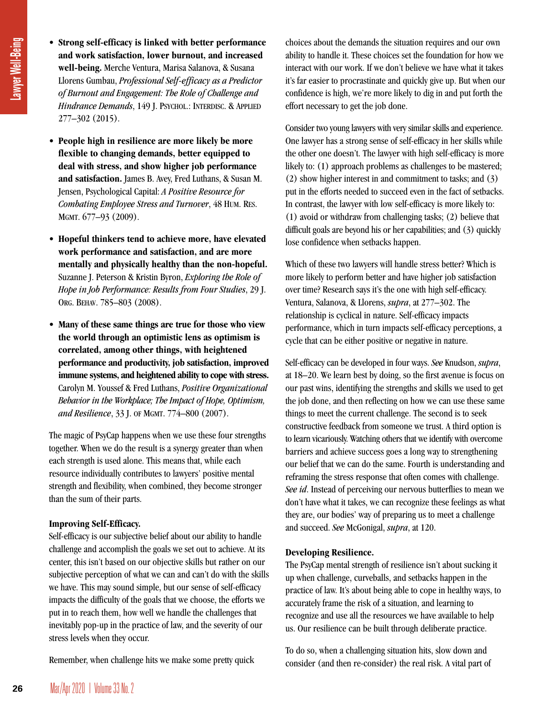- **Lawyer Well-Being**
- **Strong self-efficacy is linked with better performance and work satisfaction, lower burnout, and increased well-being.** Merche Ventura, Marisa Salanova, & Susana Llorens Gumbau, *Professional Self-efficacy as a Predictor of Burnout and Engagement: The Role of Challenge and Hindrance Demands*, 149 J. PSYCHOL.: INTERDISC. & APPLIED 277–302 (2015).
- **People high in resilience are more likely be more flexible to changing demands, better equipped to deal with stress, and show higher job performance and satisfaction.** James B. Avey, Fred Luthans, & Susan M. Jensen, Psychological Capital: *A Positive Resource for Combating Employee Stress and Turnover*, 48 HUM. RES. MGMT. 677–93 (2009).
- **Hopeful thinkers tend to achieve more, have elevated work performance and satisfaction, and are more mentally and physically healthy than the non-hopeful.** Suzanne J. Peterson & Kristin Byron, *Exploring the Role of Hope in Job Performance: Results from Four Studies*, 29 J. ORG. BEHAV. 785–803 (2008).
- **Many of these same things are true for those who view the world through an optimistic lens as optimism is correlated, among other things, with heightened performance and productivity, job satisfaction, improved immune systems, and heightened ability to cope with stress.** Carolyn M. Youssef & Fred Luthans, *Positive Organizational Behavior in the Workplace; The Impact of Hope, Optimism, and Resilience*, 33 J. OF MGMT. 774–800 (2007).

The magic of PsyCap happens when we use these four strengths together. When we do the result is a synergy greater than when each strength is used alone. This means that, while each resource individually contributes to lawyers' positive mental strength and flexibility, when combined, they become stronger than the sum of their parts.

#### **Improving Self-Efficacy.**

Self-efficacy is our subjective belief about our ability to handle challenge and accomplish the goals we set out to achieve. At its center, this isn't based on our objective skills but rather on our subjective perception of what we can and can't do with the skills we have. This may sound simple, but our sense of self-efficacy impacts the difficulty of the goals that we choose, the efforts we put in to reach them, how well we handle the challenges that inevitably pop-up in the practice of law, and the severity of our stress levels when they occur.

Remember, when challenge hits we make some pretty quick

choices about the demands the situation requires and our own ability to handle it. These choices set the foundation for how we interact with our work. If we don't believe we have what it takes it's far easier to procrastinate and quickly give up. But when our confidence is high, we're more likely to dig in and put forth the effort necessary to get the job done.

Consider two young lawyers with very similar skills and experience. One lawyer has a strong sense of self-efficacy in her skills while the other one doesn't. The lawyer with high self-efficacy is more likely to: (1) approach problems as challenges to be mastered; (2) show higher interest in and commitment to tasks; and (3) put in the efforts needed to succeed even in the fact of setbacks. In contrast, the lawyer with low self-efficacy is more likely to: (1) avoid or withdraw from challenging tasks; (2) believe that difficult goals are beyond his or her capabilities; and (3) quickly lose confidence when setbacks happen.

Which of these two lawyers will handle stress better? Which is more likely to perform better and have higher job satisfaction over time? Research says it's the one with high self-efficacy. Ventura, Salanova, & Llorens, *supra*, at 277–302. The relationship is cyclical in nature. Self-efficacy impacts performance, which in turn impacts self-efficacy perceptions, a cycle that can be either positive or negative in nature.

Self-efficacy can be developed in four ways. *See* Knudson, *supra*, at 18–20. We learn best by doing, so the first avenue is focus on our past wins, identifying the strengths and skills we used to get the job done, and then reflecting on how we can use these same things to meet the current challenge. The second is to seek constructive feedback from someone we trust. A third option is to learn vicariously. Watching others that we identify with overcome barriers and achieve success goes a long way to strengthening our belief that we can do the same. Fourth is understanding and reframing the stress response that often comes with challenge. *See id*. Instead of perceiving our nervous butterflies to mean we don't have what it takes, we can recognize these feelings as what they are, our bodies' way of preparing us to meet a challenge and succeed. *See* McGonigal, *supra*, at 120.

#### **Developing Resilience.**

The PsyCap mental strength of resilience isn't about sucking it up when challenge, curveballs, and setbacks happen in the practice of law. It's about being able to cope in healthy ways, to accurately frame the risk of a situation, and learning to recognize and use all the resources we have available to help us. Our resilience can be built through deliberate practice.

To do so, when a challenging situation hits, slow down and consider (and then re-consider) the real risk. A vital part of